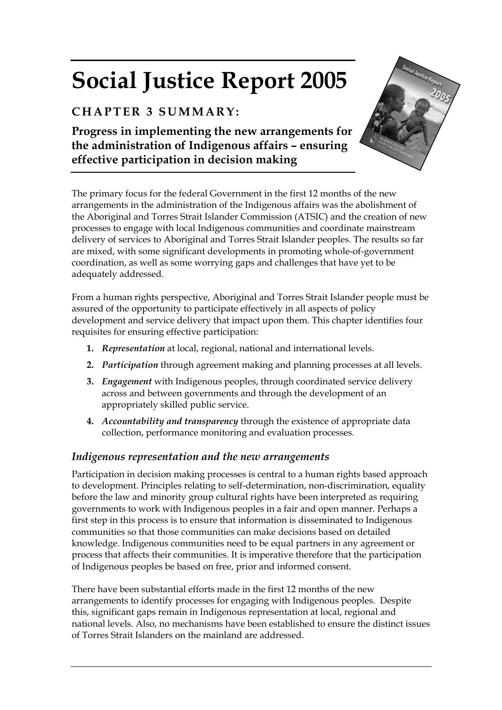# **Social Justice Report 2005**

# **CHAPTER 3 SUMMARY:**

**Progress in implementing the new arrangements for the administration of Indigenous affairs – ensuring effective participation in decision making** 



The primary focus for the federal Government in the first 12 months of the new arrangements in the administration of the Indigenous affairs was the abolishment of the Aboriginal and Torres Strait Islander Commission (ATSIC) and the creation of new processes to engage with local Indigenous communities and coordinate mainstream delivery of services to Aboriginal and Torres Strait Islander peoples. The results so far are mixed, with some significant developments in promoting whole-of-government coordination, as well as some worrying gaps and challenges that have yet to be adequately addressed.

From a human rights perspective, Aboriginal and Torres Strait Islander people must be assured of the opportunity to participate effectively in all aspects of policy development and service delivery that impact upon them. This chapter identifies four requisites for ensuring effective participation:

- **1.** *Representation* at local, regional, national and international levels.
- **2.** *Participation* through agreement making and planning processes at all levels.
- **3.** *Engagement* with Indigenous peoples, through coordinated service delivery across and between governments and through the development of an appropriately skilled public service.
- **4.** *Accountability and transparency* through the existence of appropriate data collection, performance monitoring and evaluation processes.

# *Indigenous representation and the new arrangements*

Participation in decision making processes is central to a human rights based approach to development. Principles relating to self-determination, non-discrimination, equality before the law and minority group cultural rights have been interpreted as requiring governments to work with Indigenous peoples in a fair and open manner. Perhaps a first step in this process is to ensure that information is disseminated to Indigenous communities so that those communities can make decisions based on detailed knowledge. Indigenous communities need to be equal partners in any agreement or process that affects their communities. It is imperative therefore that the participation of Indigenous peoples be based on free, prior and informed consent.

There have been substantial efforts made in the first 12 months of the new arrangements to identify processes for engaging with Indigenous peoples. Despite this, significant gaps remain in Indigenous representation at local, regional and national levels. Also, no mechanisms have been established to ensure the distinct issues of Torres Strait Islanders on the mainland are addressed.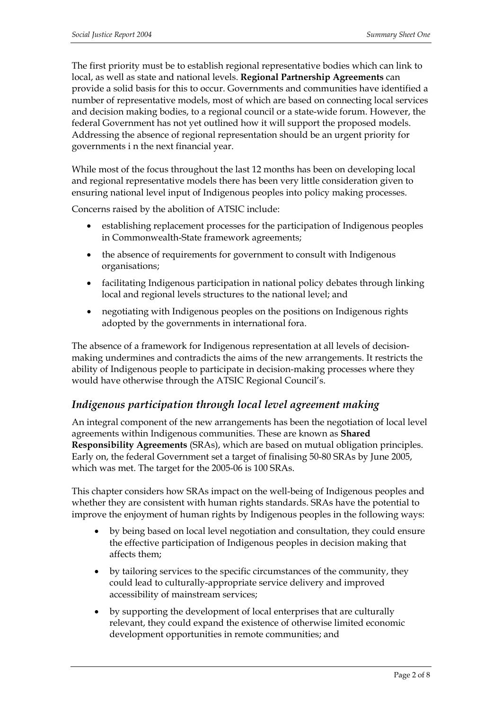The first priority must be to establish regional representative bodies which can link to local, as well as state and national levels. **Regional Partnership Agreements** can provide a solid basis for this to occur. Governments and communities have identified a number of representative models, most of which are based on connecting local services and decision making bodies, to a regional council or a state-wide forum. However, the federal Government has not yet outlined how it will support the proposed models. Addressing the absence of regional representation should be an urgent priority for governments i n the next financial year.

While most of the focus throughout the last 12 months has been on developing local and regional representative models there has been very little consideration given to ensuring national level input of Indigenous peoples into policy making processes.

Concerns raised by the abolition of ATSIC include:

- establishing replacement processes for the participation of Indigenous peoples in Commonwealth-State framework agreements;
- the absence of requirements for government to consult with Indigenous organisations;
- facilitating Indigenous participation in national policy debates through linking local and regional levels structures to the national level; and
- negotiating with Indigenous peoples on the positions on Indigenous rights adopted by the governments in international fora.

The absence of a framework for Indigenous representation at all levels of decisionmaking undermines and contradicts the aims of the new arrangements. It restricts the ability of Indigenous people to participate in decision-making processes where they would have otherwise through the ATSIC Regional Council's.

# *Indigenous participation through local level agreement making*

An integral component of the new arrangements has been the negotiation of local level agreements within Indigenous communities. These are known as **Shared Responsibility Agreements** (SRAs), which are based on mutual obligation principles. Early on, the federal Government set a target of finalising 50-80 SRAs by June 2005, which was met. The target for the 2005-06 is 100 SRAs.

This chapter considers how SRAs impact on the well-being of Indigenous peoples and whether they are consistent with human rights standards. SRAs have the potential to improve the enjoyment of human rights by Indigenous peoples in the following ways:

- by being based on local level negotiation and consultation, they could ensure the effective participation of Indigenous peoples in decision making that affects them;
- by tailoring services to the specific circumstances of the community, they could lead to culturally-appropriate service delivery and improved accessibility of mainstream services;
- by supporting the development of local enterprises that are culturally relevant, they could expand the existence of otherwise limited economic development opportunities in remote communities; and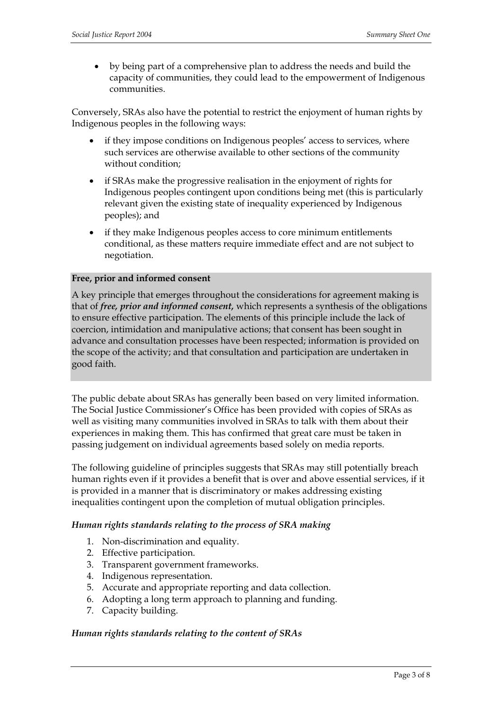• by being part of a comprehensive plan to address the needs and build the capacity of communities, they could lead to the empowerment of Indigenous communities.

Conversely, SRAs also have the potential to restrict the enjoyment of human rights by Indigenous peoples in the following ways:

- if they impose conditions on Indigenous peoples' access to services, where such services are otherwise available to other sections of the community without condition;
- if SRAs make the progressive realisation in the enjoyment of rights for Indigenous peoples contingent upon conditions being met (this is particularly relevant given the existing state of inequality experienced by Indigenous peoples); and
- if they make Indigenous peoples access to core minimum entitlements conditional, as these matters require immediate effect and are not subject to negotiation.

#### **Free, prior and informed consent**

A key principle that emerges throughout the considerations for agreement making is that of *free, prior and informed consent,* which represents a synthesis of the obligations to ensure effective participation. The elements of this principle include the lack of coercion, intimidation and manipulative actions; that consent has been sought in advance and consultation processes have been respected; information is provided on the scope of the activity; and that consultation and participation are undertaken in good faith.

The public debate about SRAs has generally been based on very limited information. The Social Justice Commissioner's Office has been provided with copies of SRAs as well as visiting many communities involved in SRAs to talk with them about their experiences in making them. This has confirmed that great care must be taken in passing judgement on individual agreements based solely on media reports.

The following guideline of principles suggests that SRAs may still potentially breach human rights even if it provides a benefit that is over and above essential services, if it is provided in a manner that is discriminatory or makes addressing existing inequalities contingent upon the completion of mutual obligation principles.

#### *Human rights standards relating to the process of SRA making*

- 1. Non-discrimination and equality.
- 2. Effective participation.
- 3. Transparent government frameworks.
- 4. Indigenous representation.
- 5. Accurate and appropriate reporting and data collection.
- 6. Adopting a long term approach to planning and funding.
- 7. Capacity building.

#### *Human rights standards relating to the content of SRAs*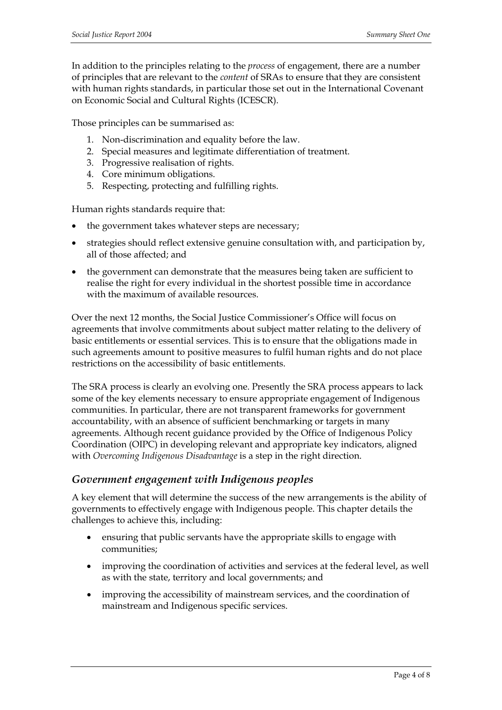In addition to the principles relating to the *process* of engagement, there are a number of principles that are relevant to the *content* of SRAs to ensure that they are consistent with human rights standards, in particular those set out in the International Covenant on Economic Social and Cultural Rights (ICESCR).

Those principles can be summarised as:

- 1. Non-discrimination and equality before the law.
- 2. Special measures and legitimate differentiation of treatment.
- 3. Progressive realisation of rights.
- 4. Core minimum obligations.
- 5. Respecting, protecting and fulfilling rights.

Human rights standards require that:

- the government takes whatever steps are necessary;
- strategies should reflect extensive genuine consultation with, and participation by, all of those affected; and
- the government can demonstrate that the measures being taken are sufficient to realise the right for every individual in the shortest possible time in accordance with the maximum of available resources.

Over the next 12 months, the Social Justice Commissioner's Office will focus on agreements that involve commitments about subject matter relating to the delivery of basic entitlements or essential services. This is to ensure that the obligations made in such agreements amount to positive measures to fulfil human rights and do not place restrictions on the accessibility of basic entitlements.

The SRA process is clearly an evolving one. Presently the SRA process appears to lack some of the key elements necessary to ensure appropriate engagement of Indigenous communities. In particular, there are not transparent frameworks for government accountability, with an absence of sufficient benchmarking or targets in many agreements. Although recent guidance provided by the Office of Indigenous Policy Coordination (OIPC) in developing relevant and appropriate key indicators, aligned with *Overcoming Indigenous Disadvantage* is a step in the right direction.

#### *Government engagement with Indigenous peoples*

A key element that will determine the success of the new arrangements is the ability of governments to effectively engage with Indigenous people. This chapter details the challenges to achieve this, including:

- ensuring that public servants have the appropriate skills to engage with communities;
- improving the coordination of activities and services at the federal level, as well as with the state, territory and local governments; and
- improving the accessibility of mainstream services, and the coordination of mainstream and Indigenous specific services.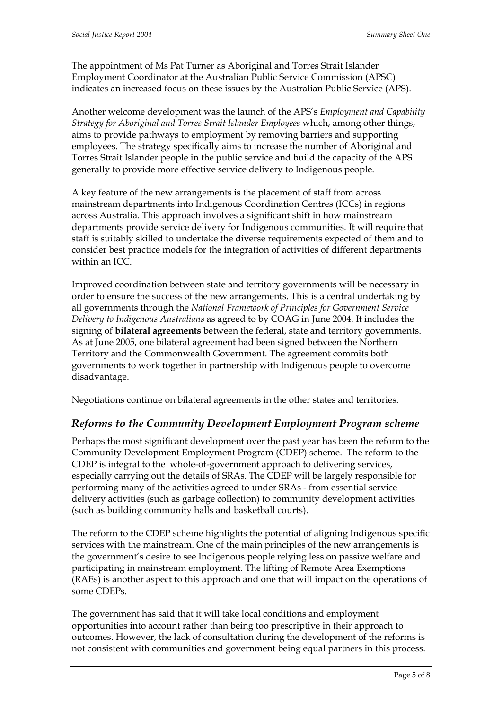The appointment of Ms Pat Turner as Aboriginal and Torres Strait Islander Employment Coordinator at the Australian Public Service Commission (APSC) indicates an increased focus on these issues by the Australian Public Service (APS).

Another welcome development was the launch of the APS's *Employment and Capability Strategy for Aboriginal and Torres Strait Islander Employees* which, among other things, aims to provide pathways to employment by removing barriers and supporting employees. The strategy specifically aims to increase the number of Aboriginal and Torres Strait Islander people in the public service and build the capacity of the APS generally to provide more effective service delivery to Indigenous people.

A key feature of the new arrangements is the placement of staff from across mainstream departments into Indigenous Coordination Centres (ICCs) in regions across Australia. This approach involves a significant shift in how mainstream departments provide service delivery for Indigenous communities. It will require that staff is suitably skilled to undertake the diverse requirements expected of them and to consider best practice models for the integration of activities of different departments within an ICC.

Improved coordination between state and territory governments will be necessary in order to ensure the success of the new arrangements. This is a central undertaking by all governments through the *National Framework of Principles for Government Service Delivery to Indigenous Australians* as agreed to by COAG in June 2004. It includes the signing of **bilateral agreements** between the federal, state and territory governments. As at June 2005, one bilateral agreement had been signed between the Northern Territory and the Commonwealth Government. The agreement commits both governments to work together in partnership with Indigenous people to overcome disadvantage.

Negotiations continue on bilateral agreements in the other states and territories.

# *Reforms to the Community Development Employment Program scheme*

Perhaps the most significant development over the past year has been the reform to the Community Development Employment Program (CDEP) scheme. The reform to the CDEP is integral to the whole-of-government approach to delivering services, especially carrying out the details of SRAs. The CDEP will be largely responsible for performing many of the activities agreed to under SRAs - from essential service delivery activities (such as garbage collection) to community development activities (such as building community halls and basketball courts).

The reform to the CDEP scheme highlights the potential of aligning Indigenous specific services with the mainstream. One of the main principles of the new arrangements is the government's desire to see Indigenous people relying less on passive welfare and participating in mainstream employment. The lifting of Remote Area Exemptions (RAEs) is another aspect to this approach and one that will impact on the operations of some CDEPs.

The government has said that it will take local conditions and employment opportunities into account rather than being too prescriptive in their approach to outcomes. However, the lack of consultation during the development of the reforms is not consistent with communities and government being equal partners in this process.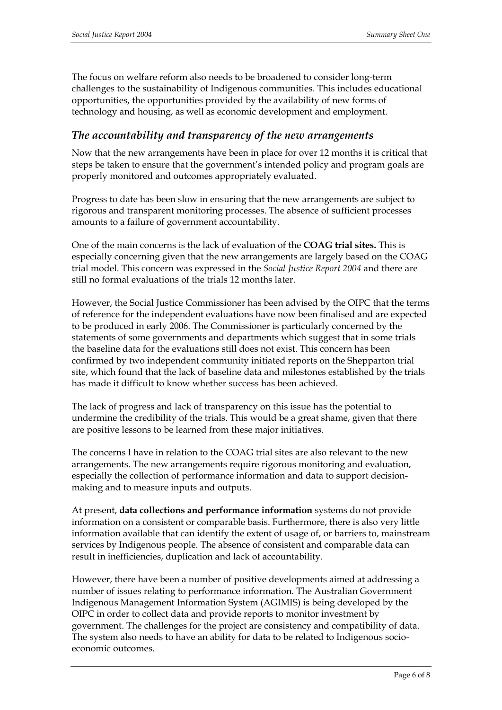The focus on welfare reform also needs to be broadened to consider long-term challenges to the sustainability of Indigenous communities. This includes educational opportunities, the opportunities provided by the availability of new forms of technology and housing, as well as economic development and employment.

# *The accountability and transparency of the new arrangements*

Now that the new arrangements have been in place for over 12 months it is critical that steps be taken to ensure that the government's intended policy and program goals are properly monitored and outcomes appropriately evaluated.

Progress to date has been slow in ensuring that the new arrangements are subject to rigorous and transparent monitoring processes. The absence of sufficient processes amounts to a failure of government accountability.

One of the main concerns is the lack of evaluation of the **COAG trial sites.** This is especially concerning given that the new arrangements are largely based on the COAG trial model. This concern was expressed in the *Social Justice Report 2004* and there are still no formal evaluations of the trials 12 months later.

However, the Social Justice Commissioner has been advised by the OIPC that the terms of reference for the independent evaluations have now been finalised and are expected to be produced in early 2006. The Commissioner is particularly concerned by the statements of some governments and departments which suggest that in some trials the baseline data for the evaluations still does not exist. This concern has been confirmed by two independent community initiated reports on the Shepparton trial site, which found that the lack of baseline data and milestones established by the trials has made it difficult to know whether success has been achieved.

The lack of progress and lack of transparency on this issue has the potential to undermine the credibility of the trials. This would be a great shame, given that there are positive lessons to be learned from these major initiatives.

The concerns I have in relation to the COAG trial sites are also relevant to the new arrangements. The new arrangements require rigorous monitoring and evaluation, especially the collection of performance information and data to support decisionmaking and to measure inputs and outputs.

At present, **data collections and performance information** systems do not provide information on a consistent or comparable basis. Furthermore, there is also very little information available that can identify the extent of usage of, or barriers to, mainstream services by Indigenous people. The absence of consistent and comparable data can result in inefficiencies, duplication and lack of accountability.

However, there have been a number of positive developments aimed at addressing a number of issues relating to performance information. The Australian Government Indigenous Management Information System (AGIMIS) is being developed by the OIPC in order to collect data and provide reports to monitor investment by government. The challenges for the project are consistency and compatibility of data. The system also needs to have an ability for data to be related to Indigenous socioeconomic outcomes.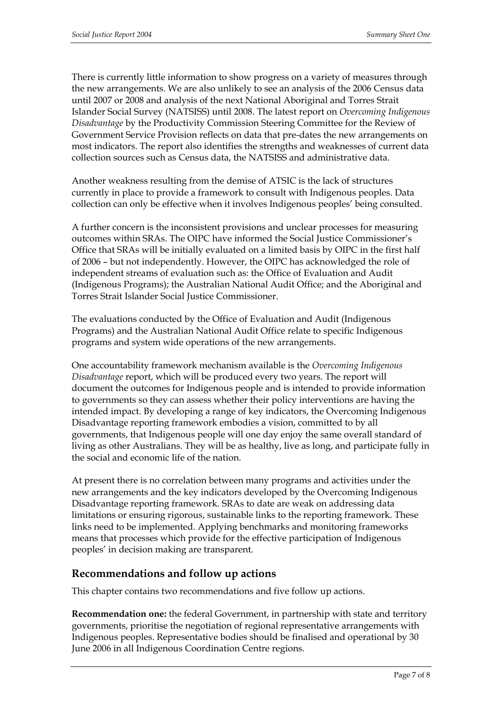There is currently little information to show progress on a variety of measures through the new arrangements. We are also unlikely to see an analysis of the 2006 Census data until 2007 or 2008 and analysis of the next National Aboriginal and Torres Strait Islander Social Survey (NATSISS) until 2008. The latest report on *Overcoming Indigenous Disadvantage* by the Productivity Commission Steering Committee for the Review of Government Service Provision reflects on data that pre-dates the new arrangements on most indicators. The report also identifies the strengths and weaknesses of current data collection sources such as Census data, the NATSISS and administrative data.

Another weakness resulting from the demise of ATSIC is the lack of structures currently in place to provide a framework to consult with Indigenous peoples. Data collection can only be effective when it involves Indigenous peoples' being consulted.

A further concern is the inconsistent provisions and unclear processes for measuring outcomes within SRAs. The OIPC have informed the Social Justice Commissioner's Office that SRAs will be initially evaluated on a limited basis by OIPC in the first half of 2006 – but not independently. However, the OIPC has acknowledged the role of independent streams of evaluation such as: the Office of Evaluation and Audit (Indigenous Programs); the Australian National Audit Office; and the Aboriginal and Torres Strait Islander Social Justice Commissioner.

The evaluations conducted by the Office of Evaluation and Audit (Indigenous Programs) and the Australian National Audit Office relate to specific Indigenous programs and system wide operations of the new arrangements.

One accountability framework mechanism available is the *Overcoming Indigenous Disadvantage* report, which will be produced every two years. The report will document the outcomes for Indigenous people and is intended to provide information to governments so they can assess whether their policy interventions are having the intended impact. By developing a range of key indicators, the Overcoming Indigenous Disadvantage reporting framework embodies a vision, committed to by all governments, that Indigenous people will one day enjoy the same overall standard of living as other Australians. They will be as healthy, live as long, and participate fully in the social and economic life of the nation.

At present there is no correlation between many programs and activities under the new arrangements and the key indicators developed by the Overcoming Indigenous Disadvantage reporting framework. SRAs to date are weak on addressing data limitations or ensuring rigorous, sustainable links to the reporting framework. These links need to be implemented. Applying benchmarks and monitoring frameworks means that processes which provide for the effective participation of Indigenous peoples' in decision making are transparent.

# **Recommendations and follow up actions**

This chapter contains two recommendations and five follow up actions.

**Recommendation one:** the federal Government, in partnership with state and territory governments, prioritise the negotiation of regional representative arrangements with Indigenous peoples. Representative bodies should be finalised and operational by 30 June 2006 in all Indigenous Coordination Centre regions.